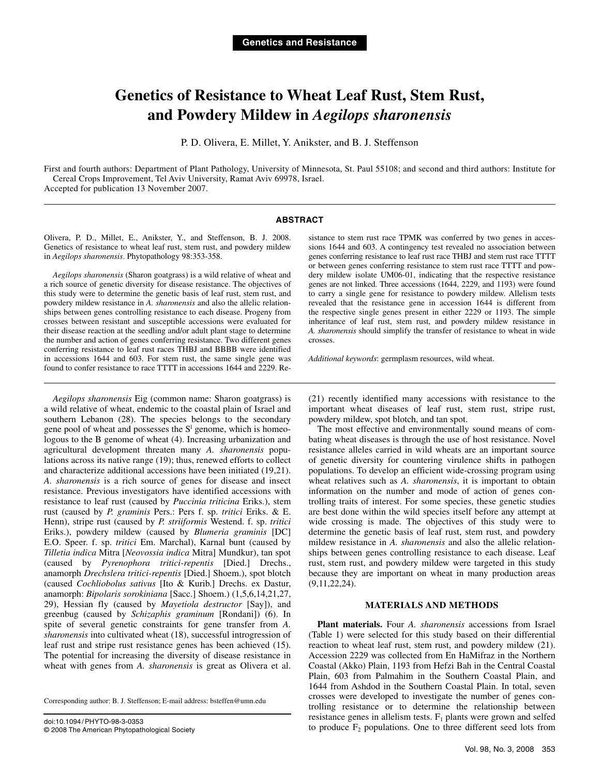# **Genetics of Resistance to Wheat Leaf Rust, Stem Rust, and Powdery Mildew in** *Aegilops sharonensis*

P. D. Olivera, E. Millet, Y. Anikster, and B. J. Steffenson

First and fourth authors: Department of Plant Pathology, University of Minnesota, St. Paul 55108; and second and third authors: Institute for Cereal Crops Improvement, Tel Aviv University, Ramat Aviv 69978, Israel.

Accepted for publication 13 November 2007.

# **ABSTRACT**

Olivera, P. D., Millet, E., Anikster, Y., and Steffenson, B. J. 2008. Genetics of resistance to wheat leaf rust, stem rust, and powdery mildew in *Aegilops sharonensis*. Phytopathology 98:353-358.

*Aegilops sharonensis* (Sharon goatgrass) is a wild relative of wheat and a rich source of genetic diversity for disease resistance. The objectives of this study were to determine the genetic basis of leaf rust, stem rust, and powdery mildew resistance in *A. sharonensis* and also the allelic relationships between genes controlling resistance to each disease. Progeny from crosses between resistant and susceptible accessions were evaluated for their disease reaction at the seedling and/or adult plant stage to determine the number and action of genes conferring resistance. Two different genes conferring resistance to leaf rust races THBJ and BBBB were identified in accessions 1644 and 603. For stem rust, the same single gene was found to confer resistance to race TTTT in accessions 1644 and 2229. Re-

*Aegilops sharonensis* Eig (common name: Sharon goatgrass) is a wild relative of wheat, endemic to the coastal plain of Israel and southern Lebanon (28). The species belongs to the secondary gene pool of wheat and possesses the S<sup>1</sup> genome, which is homeologous to the B genome of wheat (4). Increasing urbanization and agricultural development threaten many *A. sharonensis* populations across its native range (19); thus, renewed efforts to collect and characterize additional accessions have been initiated (19,21). *A. sharonensis* is a rich source of genes for disease and insect resistance. Previous investigators have identified accessions with resistance to leaf rust (caused by *Puccinia triticina* Eriks.), stem rust (caused by *P. graminis* Pers.: Pers f. sp. *tritici* Eriks. & E. Henn), stripe rust (caused by *P. striiformis* Westend. f. sp. *tritici*  Eriks.), powdery mildew (caused by *Blumeria graminis* [DC] E.O. Speer. f. sp. *tritici* Em. Marchal), Karnal bunt (caused by *Tilletia indica* Mitra [*Neovossia indica* Mitra] Mundkur), tan spot (caused by *Pyrenophora tritici-repentis* [Died.] Drechs., anamorph *Drechslera tritici-repentis* [Died.] Shoem.), spot blotch (caused *Cochliobolus sativus* [Ito & Kurib.] Drechs. ex Dastur, anamorph: *Bipolaris sorokiniana* [Sacc.] Shoem.) (1,5,6,14,21,27, 29), Hessian fly (caused by *Mayetiola destructor* [Say]), and greenbug (caused by *Schizaphis graminum* [Rondani]) (6). In spite of several genetic constraints for gene transfer from *A. sharonensis* into cultivated wheat (18), successful introgression of leaf rust and stripe rust resistance genes has been achieved (15). The potential for increasing the diversity of disease resistance in wheat with genes from *A. sharonensis* is great as Olivera et al.

Corresponding author: B. J. Steffenson; E-mail address: bsteffen@umn.edu

sistance to stem rust race TPMK was conferred by two genes in accessions 1644 and 603. A contingency test revealed no association between genes conferring resistance to leaf rust race THBJ and stem rust race TTTT or between genes conferring resistance to stem rust race TTTT and powdery mildew isolate UM06-01, indicating that the respective resistance genes are not linked. Three accessions (1644, 2229, and 1193) were found to carry a single gene for resistance to powdery mildew. Allelism tests revealed that the resistance gene in accession 1644 is different from the respective single genes present in either 2229 or 1193. The simple inheritance of leaf rust, stem rust, and powdery mildew resistance in *A. sharonensis* should simplify the transfer of resistance to wheat in wide crosses.

*Additional keywords*: germplasm resources, wild wheat.

(21) recently identified many accessions with resistance to the important wheat diseases of leaf rust, stem rust, stripe rust, powdery mildew, spot blotch, and tan spot.

The most effective and environmentally sound means of combating wheat diseases is through the use of host resistance. Novel resistance alleles carried in wild wheats are an important source of genetic diversity for countering virulence shifts in pathogen populations. To develop an efficient wide-crossing program using wheat relatives such as *A. sharonensis*, it is important to obtain information on the number and mode of action of genes controlling traits of interest. For some species, these genetic studies are best done within the wild species itself before any attempt at wide crossing is made. The objectives of this study were to determine the genetic basis of leaf rust, stem rust, and powdery mildew resistance in *A. sharonensis* and also the allelic relationships between genes controlling resistance to each disease. Leaf rust, stem rust, and powdery mildew were targeted in this study because they are important on wheat in many production areas (9,11,22,24).

### **MATERIALS AND METHODS**

**Plant materials.** Four *A. sharonensis* accessions from Israel (Table 1) were selected for this study based on their differential reaction to wheat leaf rust, stem rust, and powdery mildew (21). Accession 2229 was collected from En HaMifraz in the Northern Coastal (Akko) Plain, 1193 from Hefzi Bah in the Central Coastal Plain, 603 from Palmahim in the Southern Coastal Plain, and 1644 from Ashdod in the Southern Coastal Plain. In total, seven crosses were developed to investigate the number of genes controlling resistance or to determine the relationship between resistance genes in allelism tests.  $F_1$  plants were grown and selfed to produce  $F_2$  populations. One to three different seed lots from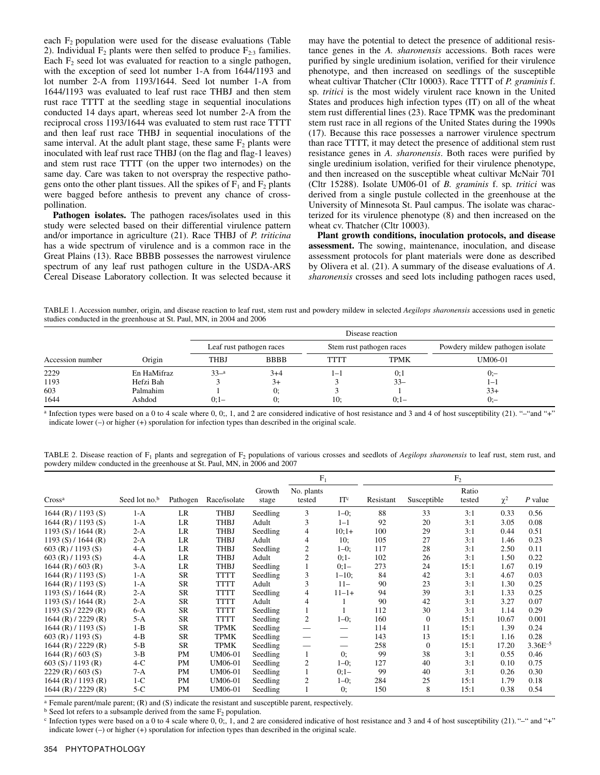each  $F_2$  population were used for the disease evaluations (Table 2). Individual  $F_2$  plants were then selfed to produce  $F_{2:3}$  families. Each  $F_2$  seed lot was evaluated for reaction to a single pathogen, with the exception of seed lot number 1-A from 1644/1193 and lot number 2-A from 1193/1644. Seed lot number 1-A from 1644/1193 was evaluated to leaf rust race THBJ and then stem rust race TTTT at the seedling stage in sequential inoculations conducted 14 days apart, whereas seed lot number 2-A from the reciprocal cross 1193/1644 was evaluated to stem rust race TTTT and then leaf rust race THBJ in sequential inoculations of the same interval. At the adult plant stage, these same  $F_2$  plants were inoculated with leaf rust race THBJ (on the flag and flag-1 leaves) and stem rust race TTTT (on the upper two internodes) on the same day. Care was taken to not overspray the respective pathogens onto the other plant tissues. All the spikes of  $F_1$  and  $F_2$  plants were bagged before anthesis to prevent any chance of crosspollination.

**Pathogen isolates.** The pathogen races/isolates used in this study were selected based on their differential virulence pattern and/or importance in agriculture (21). Race THBJ of *P. triticina* has a wide spectrum of virulence and is a common race in the Great Plains (13). Race BBBB possesses the narrowest virulence spectrum of any leaf rust pathogen culture in the USDA-ARS Cereal Disease Laboratory collection. It was selected because it may have the potential to detect the presence of additional resistance genes in the *A. sharonensis* accessions. Both races were purified by single uredinium isolation, verified for their virulence phenotype, and then increased on seedlings of the susceptible wheat cultivar Thatcher (Cltr 10003). Race TTTT of *P. graminis* f. sp. *tritici* is the most widely virulent race known in the United States and produces high infection types (IT) on all of the wheat stem rust differential lines (23). Race TPMK was the predominant stem rust race in all regions of the United States during the 1990s (17). Because this race possesses a narrower virulence spectrum than race TTTT, it may detect the presence of additional stem rust resistance genes in *A. sharonensis*. Both races were purified by single uredinium isolation, verified for their virulence phenotype, and then increased on the susceptible wheat cultivar McNair 701 (Cltr 15288). Isolate UM06-01 of *B. graminis* f. sp*. tritici* was derived from a single pustule collected in the greenhouse at the University of Minnesota St. Paul campus. The isolate was characterized for its virulence phenotype (8) and then increased on the wheat cv. Thatcher (Cltr 10003).

**Plant growth conditions, inoculation protocols, and disease assessment.** The sowing, maintenance, inoculation, and disease assessment protocols for plant materials were done as described by Olivera et al. (21). A summary of the disease evaluations of *A*. *sharonensis* crosses and seed lots including pathogen races used,

TABLE 1. Accession number, origin, and disease reaction to leaf rust, stem rust and powdery mildew in selected *Aegilops sharonensis* accessions used in genetic studies conducted in the greenhouse at St. Paul, MN, in 2004 and 2006

|                  |             | Disease reaction |                          |              |                          |                                 |  |  |  |  |
|------------------|-------------|------------------|--------------------------|--------------|--------------------------|---------------------------------|--|--|--|--|
|                  |             |                  | Leaf rust pathogen races |              | Stem rust pathogen races | Powdery mildew pathogen isolate |  |  |  |  |
| Accession number | Origin      | <b>THBJ</b>      | <b>BBBB</b>              | TTTT         | <b>TPMK</b>              | UM06-01                         |  |  |  |  |
| 2229             | En HaMifraz | $33^{-a}$        | $3+4$                    | $\mathbf{I}$ | 0:1                      | $0:-$                           |  |  |  |  |
| 1193             | Hefzi Bah   |                  | $3+$                     |              | $33 -$                   | 1—1                             |  |  |  |  |
| 603              | Palmahim    |                  | U:                       |              |                          | $33+$                           |  |  |  |  |
| 1644             | Ashdod      | $0:1-$           | o:                       | 10:          | $0:1-$                   | $0:-$                           |  |  |  |  |

<sup>a</sup> Infection types were based on a 0 to 4 scale where 0, 0;, 1, and 2 are considered indicative of host resistance and 3 and 4 of host susceptibility (21). "-"and "+" indicate lower (–) or higher (+) sporulation for infection types than described in the original scale.

TABLE 2. Disease reaction of  $F_1$  plants and segregation of  $F_2$  populations of various crosses and seedlots of *Aegilops sharonensis* to leaf rust, stem rust, and powdery mildew conducted in the greenhouse at St. Paul, MN, in 2006 and 2007

|                         |                           |           |                |                 | $F_1$                    |                 | F <sub>2</sub> |                |                 |          |              |
|-------------------------|---------------------------|-----------|----------------|-----------------|--------------------------|-----------------|----------------|----------------|-----------------|----------|--------------|
| Cross <sup>a</sup>      | Seed lot no. <sup>b</sup> | Pathogen  | Race/isolate   | Growth<br>stage | No. plants<br>tested     | IT <sup>c</sup> | Resistant      | Susceptible    | Ratio<br>tested | $\chi^2$ | $P$ value    |
| 1644 (R) / 1193 (S)     | $1-A$                     | LR        | <b>THBJ</b>    | Seedling        | 3                        | $1 - 0$ ;       | 88             | 33             | 3:1             | 0.33     | 0.56         |
| $1644$ (R) / 1193 (S)   | $1-A$                     | LR        | <b>THBJ</b>    | Adult           | 3                        | $1 - 1$         | 92             | 20             | 3:1             | 3.05     | 0.08         |
| $1193$ (S) / 1644 (R)   | $2-A$                     | LR        | <b>THBJ</b>    | Seedling        | 4                        | $10:1+$         | 100            | 29             | 3:1             | 0.44     | 0.51         |
| $1193$ (S) / 1644 (R)   | $2-A$                     | LR        | <b>THBJ</b>    | Adult           | 4                        | 10:             | 105            | 27             | 3:1             | 1.46     | 0.23         |
| $603$ (R) / 1193 (S)    | $4-A$                     | LR        | THBJ           | Seedling        | $\mathbf{2}$             | $1 - 0$ ;       | 117            | 28             | 3:1             | 2.50     | 0.11         |
| 603 (R) $/$ 1193 (S)    | $4-A$                     | LR        | THBJ           | Adult           | $\overline{c}$           | $0:1-$          | 102            | 26             | 3:1             | 1.50     | 0.22         |
| $1644$ (R) / 603 (R)    | $3-A$                     | LR        | <b>THBJ</b>    | Seedling        |                          | $0:1-$          | 273            | 24             | 15:1            | 1.67     | 0.19         |
| $1644$ (R) / 1193 (S)   | $1-A$                     | <b>SR</b> | <b>TTTT</b>    | Seedling        | 3                        | $1 - 10$ ;      | 84             | 42             | 3:1             | 4.67     | 0.03         |
| 1644 (R) / 1193 (S)     | $1-A$                     | <b>SR</b> | <b>TTTT</b>    | Adult           | 3                        | $11 -$          | 90             | 23             | 3:1             | 1.30     | 0.25         |
| $1193$ (S) / 1644 (R)   | $2-A$                     | <b>SR</b> | <b>TTTT</b>    | Seedling        | 4                        | $11 - 1 +$      | 94             | 39             | 3:1             | 1.33     | 0.25         |
| $1193$ (S) / 1644 (R)   | $2-A$                     | <b>SR</b> | <b>TTTT</b>    | Adult           | 4                        |                 | 90             | 42             | 3:1             | 3.27     | 0.07         |
| $1193$ (S) $/$ 2229 (R) | $6-A$                     | <b>SR</b> | <b>TTTT</b>    | Seedling        | 1                        |                 | 112            | 30             | 3:1             | 1.14     | 0.29         |
| $1644$ (R) $/$ 2229 (R) | $5-A$                     | <b>SR</b> | <b>TTTT</b>    | Seedling        | $\overline{2}$           | $1 - 0$ ;       | 160            | $\overline{0}$ | 15:1            | 10.67    | 0.001        |
| 1644 (R) $/$ 1193 (S)   | $1 - B$                   | <b>SR</b> | <b>TPMK</b>    | Seedling        | $\overline{\phantom{0}}$ |                 | 114            | 11             | 15:1            | 1.39     | 0.24         |
| $603$ (R) / 1193 (S)    | $4 - B$                   | <b>SR</b> | <b>TPMK</b>    | Seedling        |                          |                 | 143            | 13             | 15:1            | 1.16     | 0.28         |
| $1644$ (R) $/$ 2229 (R) | $5 - B$                   | <b>SR</b> | <b>TPMK</b>    | Seedling        |                          |                 | 258            | $\mathbf{0}$   | 15:1            | 17.20    | $3.36E^{-5}$ |
| $1644$ (R) / 603 (S)    | $3 - B$                   | PM        | UM06-01        | Seedling        | $\mathbf{1}$             | 0:              | 99             | 38             | 3:1             | 0.55     | 0.46         |
| 603 (S) $/ 1193$ (R)    | $4-C$                     | PM        | UM06-01        | Seedling        | 2                        | $1 - 0$ ;       | 127            | 40             | 3:1             | 0.10     | 0.75         |
| $2229$ (R) / 603 (S)    | $7-A$                     | PM        | UM06-01        | Seedling        |                          | $0:1-$          | 99             | 40             | 3:1             | 0.26     | 0.30         |
| $1644$ (R) $/ 1193$ (R) | $1-C$                     | PM        | UM06-01        | Seedling        | 2                        | $1 - 0$ ;       | 284            | 25             | 15:1            | 1.79     | 0.18         |
| $1644$ (R) $/$ 2229 (R) | $5-C$                     | PM        | <b>UM06-01</b> | Seedling        |                          | 0:              | 150            | 8              | 15:1            | 0.38     | 0.54         |

<sup>a</sup> Female parent/male parent; (R) and (S) indicate the resistant and susceptible parent, respectively.<br><sup>b</sup> Seed lot refers to a subsample derived from the same  $F_2$  population.<br><sup>c</sup> Infection types were based on a 0 to 4 indicate lower (–) or higher (+) sporulation for infection types than described in the original scale.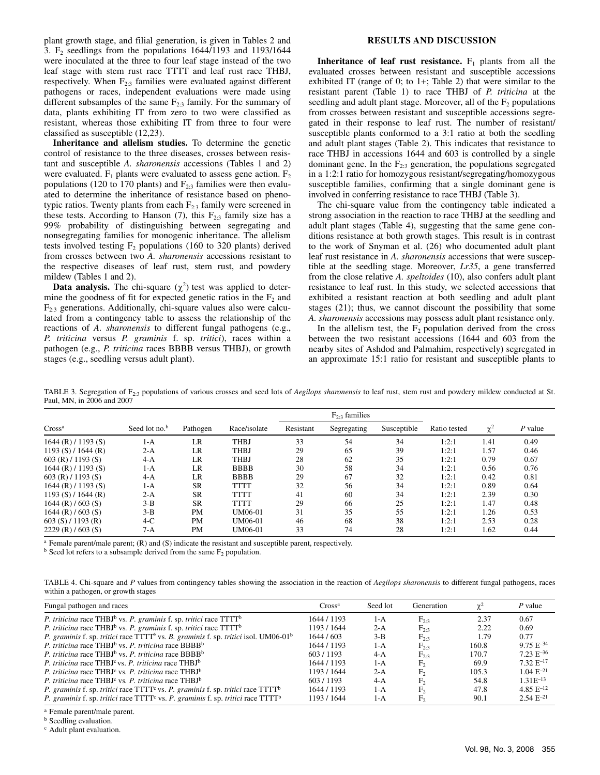plant growth stage, and filial generation, is given in Tables 2 and 3.  $F_2$  seedlings from the populations 1644/1193 and 1193/1644 were inoculated at the three to four leaf stage instead of the two leaf stage with stem rust race TTTT and leaf rust race THBJ, respectively. When  $F_{2:3}$  families were evaluated against different pathogens or races, independent evaluations were made using different subsamples of the same  $F_{2:3}$  family. For the summary of data, plants exhibiting IT from zero to two were classified as resistant, whereas those exhibiting IT from three to four were classified as susceptible (12,23).

**Inheritance and allelism studies.** To determine the genetic control of resistance to the three diseases, crosses between resistant and susceptible *A. sharonensis* accessions (Tables 1 and 2) were evaluated.  $F_1$  plants were evaluated to assess gene action.  $F_2$ populations (120 to 170 plants) and  $F_{2:3}$  families were then evaluated to determine the inheritance of resistance based on phenotypic ratios. Twenty plants from each  $F_{2:3}$  family were screened in these tests. According to Hanson  $(7)$ , this  $F_{2:3}$  family size has a 99% probability of distinguishing between segregating and nonsegregating families for monogenic inheritance. The allelism tests involved testing  $F_2$  populations (160 to 320 plants) derived from crosses between two *A. sharonensis* accessions resistant to the respective diseases of leaf rust, stem rust, and powdery mildew (Tables 1 and 2).

**Data analysis.** The chi-square  $(\chi^2)$  test was applied to determine the goodness of fit for expected genetic ratios in the  $F<sub>2</sub>$  and  $F<sub>2:3</sub>$  generations. Additionally, chi-square values also were calculated from a contingency table to assess the relationship of the reactions of *A. sharonensis* to different fungal pathogens (e.g., *P. triticina* versus *P. graminis* f. sp. *tritici*), races within a pathogen (e.g., *P. triticina* races BBBB versus THBJ), or growth stages (e.g., seedling versus adult plant).

# **RESULTS AND DISCUSSION**

**Inheritance of leaf rust resistance.**  $F_1$  plants from all the evaluated crosses between resistant and susceptible accessions exhibited IT (range of 0; to 1+; Table 2) that were similar to the resistant parent (Table 1) to race THBJ of *P. triticina* at the seedling and adult plant stage. Moreover, all of the  $F_2$  populations from crosses between resistant and susceptible accessions segregated in their response to leaf rust. The number of resistant/ susceptible plants conformed to a 3:1 ratio at both the seedling and adult plant stages (Table 2). This indicates that resistance to race THBJ in accessions 1644 and 603 is controlled by a single dominant gene. In the  $F_{2:3}$  generation, the populations segregated in a 1:2:1 ratio for homozygous resistant/segregating/homozygous susceptible families, confirming that a single dominant gene is involved in conferring resistance to race THBJ (Table 3).

The chi-square value from the contingency table indicated a strong association in the reaction to race THBJ at the seedling and adult plant stages (Table 4), suggesting that the same gene conditions resistance at both growth stages. This result is in contrast to the work of Snyman et al. (26) who documented adult plant leaf rust resistance in *A. sharonensis* accessions that were susceptible at the seedling stage. Moreover, *Lr35*, a gene transferred from the close relative *A. speltoides* (10), also confers adult plant resistance to leaf rust. In this study, we selected accessions that exhibited a resistant reaction at both seedling and adult plant stages (21); thus, we cannot discount the possibility that some *A. sharonensis* accessions may possess adult plant resistance only.

In the allelism test, the  $F_2$  population derived from the cross between the two resistant accessions (1644 and 603 from the nearby sites of Ashdod and Palmahim, respectively) segregated in an approximate 15:1 ratio for resistant and susceptible plants to

TABLE 3. Segregation of F2:3 populations of various crosses and seed lots of *Aegilops sharonensis* to leaf rust, stem rust and powdery mildew conducted at St. Paul, MN, in 2006 and 2007

|                        |                           |           |              | $F_{2,3}$ families |             |             |              |          |         |
|------------------------|---------------------------|-----------|--------------|--------------------|-------------|-------------|--------------|----------|---------|
| Cross <sup>a</sup>     | Seed lot no. <sup>b</sup> | Pathogen  | Race/isolate | Resistant          | Segregating | Susceptible | Ratio tested | $\chi^2$ | P value |
| $1644$ (R) / 1193 (S)  | 1-A                       | LR        | <b>THBJ</b>  | 33                 | 54          | 34          | 1:2:1        | 1.41     | 0.49    |
| 1193(S)/1644(R)        | $2-A$                     | LR        | <b>THBJ</b>  | 29                 | 65          | 39          | 1:2:1        | 1.57     | 0.46    |
| $603$ (R) $/$ 1193 (S) | $4-A$                     | LR        | <b>THBJ</b>  | 28                 | 62          | 35          | 1:2:1        | 0.79     | 0.67    |
| $1644$ (R) / 1193 (S)  | 1-A                       | LR        | <b>BBBB</b>  | 30                 | 58          | 34          | 1:2:1        | 0.56     | 0.76    |
| $603$ (R) $/$ 1193 (S) | $4-A$                     | LR        | <b>BBBB</b>  | 29                 | 67          | 32          | 1:2:1        | 0.42     | 0.81    |
| $1644$ (R) / 1193 (S)  | 1-A                       | <b>SR</b> | <b>TTTT</b>  | 32                 | 56          | 34          | 1:2:1        | 0.89     | 0.64    |
| 1193(S)/1644(R)        | $2-A$                     | <b>SR</b> | <b>TTTT</b>  | 41                 | 60          | 34          | 1:2:1        | 2.39     | 0.30    |
| $1644$ (R) / 603 (S)   | $3 - B$                   | <b>SR</b> | <b>TTTT</b>  | 29                 | 66          | 25          | 1:2:1        | 1.47     | 0.48    |
| $1644$ (R) / 603 (S)   | $3 - B$                   | <b>PM</b> | UM06-01      | 31                 | 35          | 55          | 1:2:1        | 1.26     | 0.53    |
| 603(S)/1193(R)         | $4-C$                     | <b>PM</b> | UM06-01      | 46                 | 68          | 38          | 1:2:1        | 2.53     | 0.28    |
| $2229$ (R) / 603 (S)   | $7-A$                     | <b>PM</b> | UM06-01      | 33                 | 74          | 28          | 1:2:1        | 1.62     | 0.44    |

<sup>a</sup> Female parent/male parent; (R) and (S) indicate the resistant and susceptible parent, respectively. **b** Seed lot refers to a subsample derived from the same  $F_2$  population.

TABLE 4. Chi-square and *P* values from contingency tables showing the association in the reaction of *Aegilops sharonensis* to different fungal pathogens, races within a pathogen, or growth stages

| Fungal pathogen and races                                                                                         | Cross <sup>a</sup> | Seed lot | Generation | $\chi^2$ | P value        |
|-------------------------------------------------------------------------------------------------------------------|--------------------|----------|------------|----------|----------------|
| P. triticina race THBJ <sup>b</sup> vs. P. graminis f. sp. tritici race TTTT <sup>b</sup>                         | 1644 / 1193        | 1-A      | $F_{2:3}$  | 2.37     | 0.67           |
| P. triticina race THBJ <sup>b</sup> vs. P. graminis f. sp. tritici race TTTT <sup>b</sup>                         | 1193/1644          | $2-A$    | $F_{2:3}$  | 2.22     | 0.69           |
| P. graminis f. sp. tritici race TTTT <sup>b</sup> vs. B. graminis f. sp. tritici isol. UM06-01 <sup>b</sup>       | 1644 / 603         | $3 - B$  | $F_{2:3}$  | 1.79     | 0.77           |
| <i>P. triticina</i> race THBJ <sup>b</sup> vs. <i>P. triticina</i> race BBBB <sup>b</sup>                         | 1644 / 1193        | 1-A      | $F_{2,3}$  | 160.8    | $9.75 E^{-34}$ |
| P. triticina race THBJ <sup>b</sup> vs. P. triticina race BBBB <sup>b</sup>                                       | 603/1193           | 4-A      | $F_{2:3}$  | 170.7    | $7.23 E^{-36}$ |
| P. triticina race THBJ <sup>c</sup> vs. P. triticina race THBJ <sup>b</sup>                                       | 1644 / 1193        | 1-A      | F,         | 69.9     | $7.32 E^{-17}$ |
| P. triticina race THBJ <sup>c</sup> vs. P. triticina race THBJ <sup>b</sup>                                       | 1193/1644          | $2-A$    |            | 105.3    | $1.04 E^{-21}$ |
| P. triticina race THBJ <sup>c</sup> vs. P. triticina race THBJ <sup>b</sup>                                       | 603/1193           | 4-A      |            | 54.8     | $1.31E^{-13}$  |
| <i>P. graminis</i> f. sp. <i>tritici</i> race $TTTT^c$ vs. <i>P. graminis</i> f. sp. <i>tritici</i> race $TTTT^b$ | 1644 / 1193        | 1-A      |            | 47.8     | $4.85 E^{-12}$ |
| P. graminis f. sp. tritici race TTTT <sup>c</sup> vs. P. graminis f. sp. tritici race TTTT <sup>b</sup>           | 1193/1644          | 1-A      |            | 90.1     | $2.54 E^{-21}$ |

a Female parent/male parent.

**b** Seedling evaluation.

c Adult plant evaluation.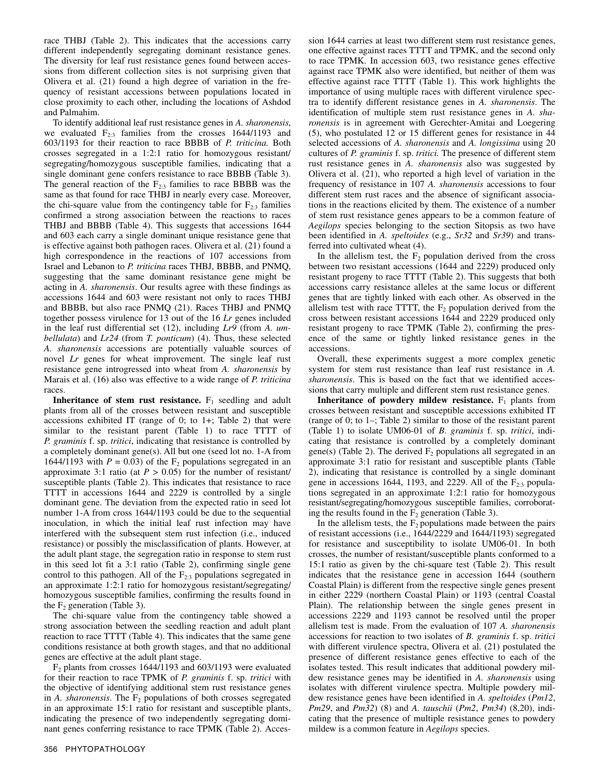race THBJ (Table 2). This indicates that the accessions carry different independently segregating dominant resistance genes. The diversity for leaf rust resistance genes found between accessions from different collection sites is not surprising given that Olivera et al. (21) found a high degree of variation in the frequency of resistant accessions between populations located in close proximity to each other, including the locations of Ashdod and Palmahim.

To identify additional leaf rust resistance genes in *A. sharonensis*, we evaluated  $F_{2:3}$  families from the crosses 1644/1193 and 603/1193 for their reaction to race BBBB of *P. triticina.* Both crosses segregated in a 1:2:1 ratio for homozygous resistant/ segregating/homozygous susceptible families, indicating that a single dominant gene confers resistance to race BBBB (Table 3). The general reaction of the  $F_{2:3}$  families to race BBBB was the same as that found for race THBJ in nearly every case. Moreover, the chi-square value from the contingency table for  $F_{2:3}$  families confirmed a strong association between the reactions to races THBJ and BBBB (Table 4). This suggests that accessions 1644 and 603 each carry a single dominant unique resistance gene that is effective against both pathogen races. Olivera et al. (21) found a high correspondence in the reactions of 107 accessions from Israel and Lebanon to *P. triticina* races THBJ, BBBB, and PNMQ, suggesting that the same dominant resistance gene might be acting in *A. sharonensis*. Our results agree with these findings as accessions 1644 and 603 were resistant not only to races THBJ and BBBB, but also race PNMQ (21). Races THBJ and PNMQ together possess virulence for 13 out of the 16 *Lr* genes included in the leaf rust differential set (12), including *Lr9* (from *A. umbellulata*) and *Lr24* (from *T. ponticum*) (4). Thus, these selected *A. sharonensis* accessions are potentially valuable sources of novel *Lr* genes for wheat improvement. The single leaf rust resistance gene introgressed into wheat from *A. sharonensis* by Marais et al. (16) also was effective to a wide range of *P. triticina* races.

**Inheritance of stem rust resistance.**  $F_1$  seedling and adult plants from all of the crosses between resistant and susceptible accessions exhibited IT (range of 0; to 1+; Table 2) that were similar to the resistant parent (Table 1) to race TTTT of *P. graminis* f. sp. *tritici*, indicating that resistance is controlled by a completely dominant gene(s). All but one (seed lot no. 1-A from 1644/1193 with  $P = 0.03$ ) of the  $F_2$  populations segregated in an approximate 3:1 ratio (at  $P > 0.05$ ) for the number of resistant/ susceptible plants (Table 2). This indicates that resistance to race TTTT in accessions 1644 and 2229 is controlled by a single dominant gene. The deviation from the expected ratio in seed lot number 1-A from cross 1644/1193 could be due to the sequential inoculation, in which the initial leaf rust infection may have interfered with the subsequent stem rust infection (i.e., induced resistance) or possibly the misclassification of plants. However, at the adult plant stage, the segregation ratio in response to stem rust in this seed lot fit a 3:1 ratio (Table 2), confirming single gene control to this pathogen. All of the  $F_{2:3}$  populations segregated in an approximate 1:2:1 ratio for homozygous resistant/segregating/ homozygous susceptible families, confirming the results found in the  $F_2$  generation (Table 3).

The chi-square value from the contingency table showed a strong association between the seedling reaction and adult plant reaction to race TTTT (Table 4). This indicates that the same gene conditions resistance at both growth stages, and that no additional genes are effective at the adult plant stage.

F2 plants from crosses 1644/1193 and 603/1193 were evaluated for their reaction to race TPMK of *P. graminis* f. sp. *tritici* with the objective of identifying additional stem rust resistance genes in  $A$ . *sharonensis*. The  $F_2$  populations of both crosses segregated in an approximate 15:1 ratio for resistant and susceptible plants, indicating the presence of two independently segregating dominant genes conferring resistance to race TPMK (Table 2). Accession 1644 carries at least two different stem rust resistance genes, one effective against races TTTT and TPMK, and the second only to race TPMK. In accession 603, two resistance genes effective against race TPMK also were identified, but neither of them was effective against race TTTT (Table 1). This work highlights the importance of using multiple races with different virulence spectra to identify different resistance genes in *A. sharonensis*. The identification of multiple stem rust resistance genes in *A. sharonensis* is in agreement with Gerechter-Amitai and Loegering (5), who postulated 12 or 15 different genes for resistance in 44 selected accessions of *A. sharonensis* and *A. longissima* using 20 cultures of *P. graminis* f. sp. *tritici.* The presence of different stem rust resistance genes in *A. sharonensis* also was suggested by Olivera et al. (21), who reported a high level of variation in the frequency of resistance in 107 *A. sharonensis* accessions to four different stem rust races and the absence of significant associations in the reactions elicited by them. The existence of a number of stem rust resistance genes appears to be a common feature of *Aegilops* species belonging to the section Sitopsis as two have been identified in *A. speltoides* (e.g., *Sr32* and *Sr39*) and transferred into cultivated wheat (4).

In the allelism test, the  $F_2$  population derived from the cross between two resistant accessions (1644 and 2229) produced only resistant progeny to race TTTT (Table 2). This suggests that both accessions carry resistance alleles at the same locus or different genes that are tightly linked with each other. As observed in the allelism test with race TTTT, the  $F_2$  population derived from the cross between resistant accessions 1644 and 2229 produced only resistant progeny to race TPMK (Table 2), confirming the presence of the same or tightly linked resistance genes in the accessions.

Overall, these experiments suggest a more complex genetic system for stem rust resistance than leaf rust resistance in *A. sharonensis*. This is based on the fact that we identified accessions that carry multiple and different stem rust resistance genes.

**Inheritance of powdery mildew resistance.**  $F_1$  plants from crosses between resistant and susceptible accessions exhibited IT (range of 0; to 1–; Table 2) similar to those of the resistant parent (Table 1) to isolate UM06-01 of *B*. *graminis* f. sp. *tritici*, indicating that resistance is controlled by a completely dominant gene(s) (Table 2). The derived  $F_2$  populations all segregated in an approximate 3:1 ratio for resistant and susceptible plants (Table 2), indicating that resistance is controlled by a single dominant gene in accessions 1644, 1193, and 2229. All of the  $F_{2:3}$  populations segregated in an approximate 1:2:1 ratio for homozygous resistant/segregating/homozygous susceptible families, corroborating the results found in the  $F_2$  generation (Table 3).

In the allelism tests, the  $F_2$  populations made between the pairs of resistant accessions (i.e., 1644/2229 and 1644/1193) segregated for resistance and susceptibility to isolate UM06-01. In both crosses, the number of resistant/susceptible plants conformed to a 15:1 ratio as given by the chi-square test (Table 2). This result indicates that the resistance gene in accession 1644 (southern Coastal Plain) is different from the respective single genes present in either 2229 (northern Coastal Plain) or 1193 (central Coastal Plain). The relationship between the single genes present in accessions 2229 and 1193 cannot be resolved until the proper allelism test is made. From the evaluation of 107 *A. sharonensis* accessions for reaction to two isolates of *B. graminis* f. sp. *tritici* with different virulence spectra, Olivera et al. (21) postulated the presence of different resistance genes effective to each of the isolates tested. This result indicates that additional powdery mildew resistance genes may be identified in *A. sharonensis* using isolates with different virulence spectra. Multiple powdery mildew resistance genes have been identified in *A. speltoides* (*Pm12*, *Pm29*, and *Pm32*) (8) and *A. tauschii* (*Pm2*, *Pm34*) (8,20), indicating that the presence of multiple resistance genes to powdery mildew is a common feature in *Aegilops* species.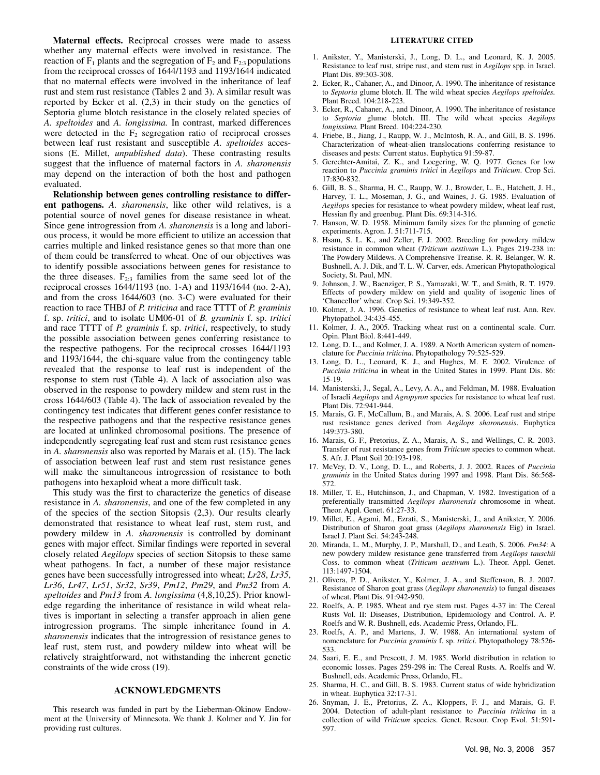**Maternal effects.** Reciprocal crosses were made to assess whether any maternal effects were involved in resistance. The reaction of  $F_1$  plants and the segregation of  $F_2$  and  $F_{2:3}$  populations from the reciprocal crosses of 1644/1193 and 1193/1644 indicated that no maternal effects were involved in the inheritance of leaf rust and stem rust resistance (Tables 2 and 3). A similar result was reported by Ecker et al. (2,3) in their study on the genetics of Septoria glume blotch resistance in the closely related species of *A. speltoides* and *A. longissima.* In contrast, marked differences were detected in the  $F_2$  segregation ratio of reciprocal crosses between leaf rust resistant and susceptible *A. speltoides* accessions (E. Millet, *unpublished data*). These contrasting results suggest that the influence of maternal factors in *A. sharonensis*  may depend on the interaction of both the host and pathogen evaluated.

**Relationship between genes controlling resistance to different pathogens.** *A. sharonensis*, like other wild relatives, is a potential source of novel genes for disease resistance in wheat. Since gene introgression from *A. sharonensis* is a long and laborious process, it would be more efficient to utilize an accession that carries multiple and linked resistance genes so that more than one of them could be transferred to wheat. One of our objectives was to identify possible associations between genes for resistance to the three diseases.  $F_{2:3}$  families from the same seed lot of the reciprocal crosses 1644/1193 (no. 1-A) and 1193/1644 (no. 2-A), and from the cross 1644/603 (no. 3-C) were evaluated for their reaction to race THBJ of *P. triticina* and race TTTT of *P. graminis* f. sp. *tritici*, and to isolate UM06-01 of *B. graminis* f. sp. *tritici* and race TTTT of *P. graminis* f. sp. *tritici*, respectively, to study the possible association between genes conferring resistance to the respective pathogens. For the reciprocal crosses 1644/1193 and 1193/1644, the chi-square value from the contingency table revealed that the response to leaf rust is independent of the response to stem rust (Table 4). A lack of association also was observed in the response to powdery mildew and stem rust in the cross 1644/603 (Table 4). The lack of association revealed by the contingency test indicates that different genes confer resistance to the respective pathogens and that the respective resistance genes are located at unlinked chromosomal positions. The presence of independently segregating leaf rust and stem rust resistance genes in *A. sharonensis* also was reported by Marais et al. (15). The lack of association between leaf rust and stem rust resistance genes will make the simultaneous introgression of resistance to both pathogens into hexaploid wheat a more difficult task.

This study was the first to characterize the genetics of disease resistance in *A. sharonensis*, and one of the few completed in any of the species of the section Sitopsis (2,3). Our results clearly demonstrated that resistance to wheat leaf rust, stem rust, and powdery mildew in *A. sharonensis* is controlled by dominant genes with major effect. Similar findings were reported in several closely related *Aegilops* species of section Sitopsis to these same wheat pathogens. In fact, a number of these major resistance genes have been successfully introgressed into wheat; *Lr28*, *Lr35*, *Lr36*, *Lr47*, *Lr51*, *Sr32*, *Sr39*, *Pm12*, *Pm29*, and *Pm32* from *A. speltoides* and *Pm13* from *A. longissima* (4,8,10,25). Prior knowledge regarding the inheritance of resistance in wild wheat relatives is important in selecting a transfer approach in alien gene introgression programs. The simple inheritance found in *A. sharonensis* indicates that the introgression of resistance genes to leaf rust, stem rust, and powdery mildew into wheat will be relatively straightforward, not withstanding the inherent genetic constraints of the wide cross (19).

# **ACKNOWLEDGMENTS**

This research was funded in part by the Lieberman-Okinow Endowment at the University of Minnesota. We thank J. Kolmer and Y. Jin for providing rust cultures.

#### **LITERATURE CITED**

- 1. Anikster, Y., Manisterski, J., Long, D. L., and Leonard, K. J. 2005. Resistance to leaf rust, stripe rust, and stem rust in *Aegilops* spp. in Israel. Plant Dis. 89:303-308.
- 2. Ecker, R., Cahaner, A., and Dinoor, A. 1990. The inheritance of resistance to *Septoria* glume blotch. II. The wild wheat species *Aegilops speltoides.*  Plant Breed. 104:218-223.
- 3. Ecker, R., Cahaner, A., and Dinoor, A. 1990. The inheritance of resistance to *Septoria* glume blotch. III. The wild wheat species *Aegilops longissima.* Plant Breed. 104:224-230.
- 4. Friebe, B., Jiang, J., Raupp, W. J., McIntosh, R. A., and Gill, B. S. 1996. Characterization of wheat-alien translocations conferring resistance to diseases and pests: Current status. Euphytica 91:59-87.
- 5. Gerechter-Amitai, Z. K., and Loegering, W. Q. 1977. Genes for low reaction to *Puccinia graminis tritici* in *Aegilops* and *Triticum*. Crop Sci. 17:830-832.
- 6. Gill, B. S., Sharma, H. C., Raupp, W. J., Browder, L. E., Hatchett, J. H., Harvey, T. L., Moseman, J. G., and Waines, J. G. 1985. Evaluation of *Aegilops* species for resistance to wheat powdery mildew, wheat leaf rust, Hessian fly and greenbug. Plant Dis. 69:314-316.
- 7. Hanson, W. D. 1958. Minimum family sizes for the planning of genetic experiments. Agron. J. 51:711-715.
- 8. Hsam, S. L. K., and Zeller, F. J. 2002. Breeding for powdery mildew resistance in common wheat (*Triticum aestivum* L.). Pages 219-238 in: The Powdery Mildews. A Comprehensive Treatise. R. R. Belanger, W. R. Bushnell, A. J. Dik, and T. L. W. Carver, eds. American Phytopathological Society, St. Paul, MN.
- 9. Johnson, J. W., Baenziger, P. S., Yamazaki, W. T., and Smith, R. T. 1979. Effects of powdery mildew on yield and quality of isogenic lines of 'Chancellor' wheat. Crop Sci. 19:349-352.
- 10. Kolmer, J. A. 1996. Genetics of resistance to wheat leaf rust. Ann. Rev. Phytopathol. 34:435-455.
- 11. Kolmer, J. A., 2005. Tracking wheat rust on a continental scale. Curr. Opin. Plant Biol. 8:441-449.
- 12. Long, D. L., and Kolmer, J. A. 1989. A North American system of nomenclature for *Puccinia triticina*. Phytopathology 79:525-529.
- 13. Long, D. L., Leonard, K. J., and Hughes, M. E. 2002. Virulence of *Puccinia triticina* in wheat in the United States in 1999. Plant Dis. 86: 15-19.
- 14. Manisterski, J., Segal, A., Levy, A. A., and Feldman, M. 1988. Evaluation of Israeli *Aegilops* and *Agropyron* species for resistance to wheat leaf rust. Plant Dis. 72:941-944.
- 15. Marais, G. F., McCallum, B., and Marais, A. S. 2006. Leaf rust and stripe rust resistance genes derived from *Aegilops sharonensis*. Euphytica 149:373-380.
- 16. Marais, G. F., Pretorius, Z. A., Marais, A. S., and Wellings, C. R. 2003. Transfer of rust resistance genes from *Triticum* species to common wheat. S. Afr. J. Plant Soil 20:193-198.
- 17. McVey, D. V., Long, D. L., and Roberts, J. J. 2002. Races of *Puccinia graminis* in the United States during 1997 and 1998. Plant Dis. 86:568- 572.
- 18. Miller, T. E., Hutchinson, J., and Chapman, V. 1982. Investigation of a preferentially transmitted *Aegilops sharonensis* chromosome in wheat. Theor. Appl. Genet. 61:27-33.
- 19. Millet, E., Agami, M., Ezrati, S., Manisterski, J., and Anikster, Y. 2006. Distribution of Sharon goat grass (*Aegilops sharonensis* Eig) in Israel. Israel J. Plant Sci. 54:243-248.
- 20. Miranda, L. M., Murphy, J. P., Marshall, D., and Leath, S. 2006. *Pm34*: A new powdery mildew resistance gene transferred from *Aegilops tauschii* Coss. to common wheat (*Triticum aestivum* L.). Theor. Appl. Genet. 113:1497-1504.
- 21. Olivera, P. D., Anikster, Y., Kolmer, J. A., and Steffenson, B. J. 2007. Resistance of Sharon goat grass (*Aegilops sharonensis*) to fungal diseases of wheat. Plant Dis. 91:942-950.
- 22. Roelfs, A. P. 1985. Wheat and rye stem rust. Pages 4-37 in: The Cereal Rusts Vol. II: Diseases, Distribution, Epidemiology and Control. A. P. Roelfs and W. R. Bushnell, eds. Academic Press, Orlando, FL.
- 23. Roelfs, A. P., and Martens, J. W. 1988. An international system of nomenclature for *Puccinia graminis* f. sp. *tritici*. Phytopathology 78:526- 533.
- 24. Saari, E. E., and Prescott, J. M. 1985. World distribution in relation to economic losses. Pages 259-298 in: The Cereal Rusts. A. Roelfs and W. Bushnell, eds. Academic Press, Orlando, FL.
- 25. Sharma, H. C., and Gill, B. S. 1983. Current status of wide hybridization in wheat. Euphytica 32:17-31.
- 26. Snyman, J. E., Pretorius, Z. A., Kloppers, F. J., and Marais, G. F. 2004. Detection of adult-plant resistance to *Puccinia triticina* in a collection of wild *Triticum* species. Genet. Resour. Crop Evol. 51:591- 597.